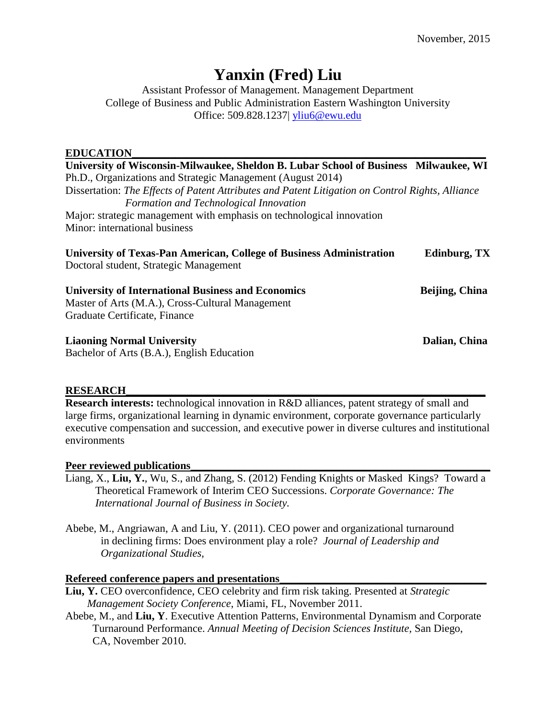# **Yanxin (Fred) Liu**

Assistant Professor of Management. Management Department College of Business and Public Administration Eastern Washington University Office: 509.828.1237| [yliu6@ewu.edu](mailto:yanxin@uwm.edu) 

## **EDUCATION\_\_\_\_\_\_\_\_\_\_\_\_\_\_\_\_\_\_\_\_\_\_\_\_\_\_\_\_\_\_\_\_\_\_\_\_\_\_\_\_\_\_\_\_\_\_\_\_\_\_\_\_\_\_\_\_\_\_\_\_\_\_\_\_\_**

**University of Wisconsin-Milwaukee, Sheldon B. Lubar School of Business Milwaukee, WI**  Ph.D., Organizations and Strategic Management (August 2014) Dissertation: *The Effects of Patent Attributes and Patent Litigation on Control Rights, Alliance Formation and Technological Innovation*  Major: strategic management with emphasis on technological innovation Minor: international business **University of Texas-Pan American, College of Business Administration Edinburg, TX**  Doctoral student, Strategic Management

**University of International Business and Economics Beijing, China**  Master of Arts (M.A.), Cross-Cultural Management

Graduate Certificate, Finance

**Liaoning Normal University Dalian, China** 

Bachelor of Arts (B.A.), English Education

# **RESEARCH\_\_\_\_\_\_\_\_\_\_\_\_\_\_\_\_\_\_\_\_\_\_\_\_\_\_\_\_\_\_\_\_\_\_\_\_\_\_\_\_\_\_\_\_\_\_\_\_\_\_\_\_\_\_\_\_\_\_\_\_\_\_\_\_\_\_**

**Research interests:** technological innovation in R&D alliances, patent strategy of small and large firms, organizational learning in dynamic environment, corporate governance particularly executive compensation and succession, and executive power in diverse cultures and institutional environments

## Peer reviewed publications

Liang, X., **Liu, Y.**, Wu, S., and Zhang, S. (2012) Fending Knights or Masked Kings? Toward a Theoretical Framework of Interim CEO Successions. *Corporate Governance: The International Journal of Business in Society.*

Abebe, M., Angriawan, A and Liu, Y. (2011). CEO power and organizational turnaround in declining firms: Does environment play a role? *Journal of Leadership and*   $Organizational Studies,$ 

# Refereed conference papers and presentations

- **Liu, Y.** CEO overconfidence, CEO celebrity and firm risk taking. Presented at *Strategic Management Society Conference*, Miami, FL, November 2011.
- Abebe, M., and **Liu, Y**. Executive Attention Patterns, Environmental Dynamism and Corporate Turnaround Performance. *Annual Meeting of Decision Sciences Institute,* San Diego, CA, November 2010.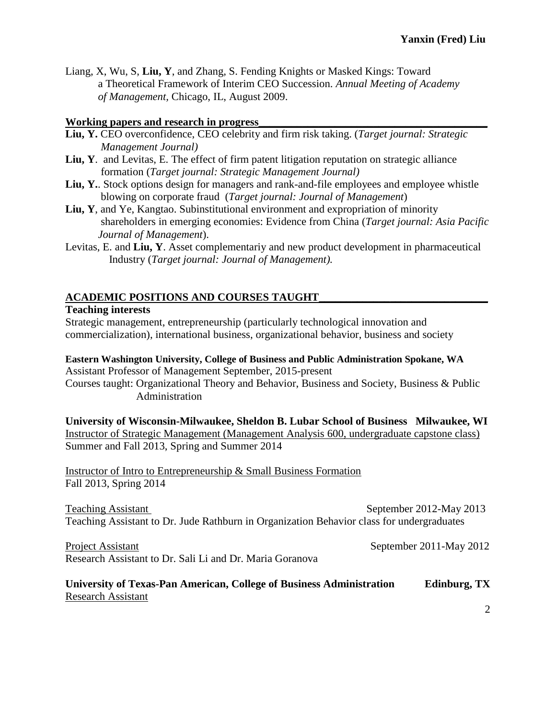Liang, X, Wu, S, **Liu, Y**, and Zhang, S. Fending Knights or Masked Kings: Toward a Theoretical Framework of Interim CEO Succession. *Annual Meeting of Academy of Management,* Chicago, IL, August 2009.

## Working papers and research in progress\_

- **Liu, Y.** CEO overconfidence, CEO celebrity and firm risk taking. (*Target journal: Strategic Management Journal)*
- **Liu, Y**. and Levitas, E. The effect of firm patent litigation reputation on strategic alliance formation (*Target journal: Strategic Management Journal)*
- Liu, Y.. Stock options design for managers and rank-and-file employees and employee whistle blowing on corporate fraud (*Target journal: Journal of Management*)
- **Liu, Y**, and Ye, Kangtao. Subinstitutional environment and expropriation of minority shareholders in emerging economies: Evidence from China (*Target journal: Asia Pacific Journal of Management*).
- Levitas, E. and **Liu, Y**. Asset complementariy and new product development in pharmaceutical Industry (*Target journal: Journal of Management).*

## **ACADEMIC POSITIONS AND COURSES TAUGHT\_\_\_\_\_\_\_\_\_\_\_\_\_\_\_\_\_\_\_\_\_\_\_\_\_\_\_\_\_\_\_**

#### **Teaching interests**

Strategic management, entrepreneurship (particularly technological innovation and commercialization), international business, organizational behavior, business and society

#### **Eastern Washington University, College of Business and Public Administration Spokane, WA**  Assistant Professor of Management September, 2015-present

Courses taught: Organizational Theory and Behavior, Business and Society, Business & Public Administration

**University of Wisconsin-Milwaukee, Sheldon B. Lubar School of Business Milwaukee, WI**  Instructor of Strategic Management (Management Analysis 600, undergraduate capstone class) Summer and Fall 2013, Spring and Summer 2014

Instructor of Intro to Entrepreneurship & Small Business Formation Fall 2013, Spring 2014

Teaching Assistant September 2012-May 2013 Teaching Assistant to Dr. Jude Rathburn in Organization Behavior class for undergraduates

Project Assistant September 2011-May 2012 Research Assistant to Dr. Sali Li and Dr. Maria Goranova

## **University of Texas-Pan American, College of Business Administration Edinburg, TX**  Research Assistant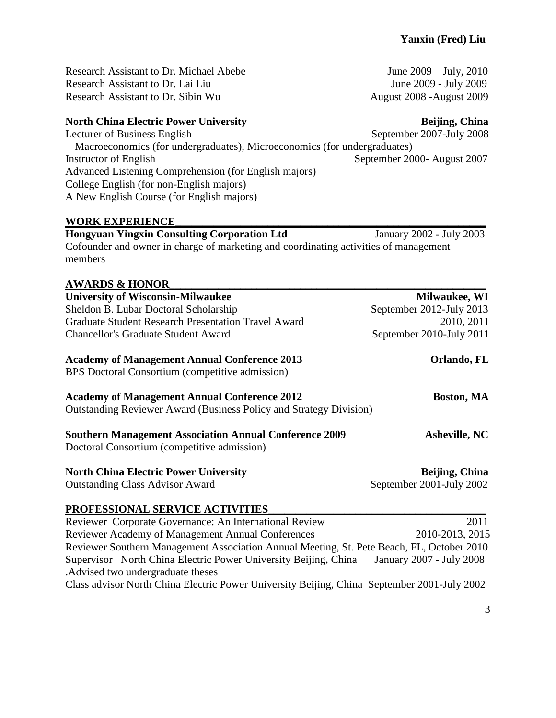Research Assistant to Dr. Michael Abebe June 2009 – July, 2010 Research Assistant to Dr. Lai Liu June 2009 - July 2009 Research Assistant to Dr. Sibin Wu August 2008 -August 2009

## **North China Electric Power University Server Beijing, China** *Beijing***, China**

Lecturer of Business English September 2007-July 2008 Macroeconomics (for undergraduates), Microeconomics (for undergraduates) Instructor of English September 2000- August 2007 Advanced Listening Comprehension (for English majors) College English (for non-English majors) A New English Course (for English majors)

### WORK EXPERIENCE

**Hongyuan Yingxin Consulting Corporation Ltd** January 2002 - July 2003 Cofounder and owner in charge of marketing and coordinating activities of management members

## **AWARDS & HONOR\_\_\_\_\_\_\_\_\_\_\_\_\_\_\_\_\_\_\_\_\_\_\_\_\_\_\_\_\_\_\_\_\_\_\_\_\_\_\_\_\_\_\_\_\_\_\_\_\_\_\_\_\_\_\_\_\_\_**

| <b>University of Wisconsin-Milwaukee</b>                                                                                         | Milwaukee, WI            |
|----------------------------------------------------------------------------------------------------------------------------------|--------------------------|
| Sheldon B. Lubar Doctoral Scholarship                                                                                            | September 2012-July 2013 |
| <b>Graduate Student Research Presentation Travel Award</b>                                                                       | 2010, 2011               |
| <b>Chancellor's Graduate Student Award</b>                                                                                       | September 2010-July 2011 |
| <b>Academy of Management Annual Conference 2013</b><br>BPS Doctoral Consortium (competitive admission)                           | Orlando, FL              |
| <b>Academy of Management Annual Conference 2012</b><br><b>Outstanding Reviewer Award (Business Policy and Strategy Division)</b> | <b>Boston, MA</b>        |
| <b>Southern Management Association Annual Conference 2009</b><br>Doctoral Consortium (competitive admission)                     | <b>Asheville, NC</b>     |
| <b>North China Electric Power University</b>                                                                                     | Beijing, China           |
| <b>Outstanding Class Advisor Award</b>                                                                                           | September 2001-July 2002 |
| PROFESSIONAL SERVICE ACTIVITIES                                                                                                  |                          |
| Reviewer Corporate Governance: An International Review                                                                           | 2011                     |

Reviewer Academy of Management Annual Conferences 2010-2013, 2015 Reviewer Southern Management Association Annual Meeting, St. Pete Beach, FL, October 2010 SupervisorNorth China Electric Power University Beijing, China January 2007 - July 2008 .Advised two undergraduate theses

Class advisor North China Electric Power University Beijing, China September 2001-July 2002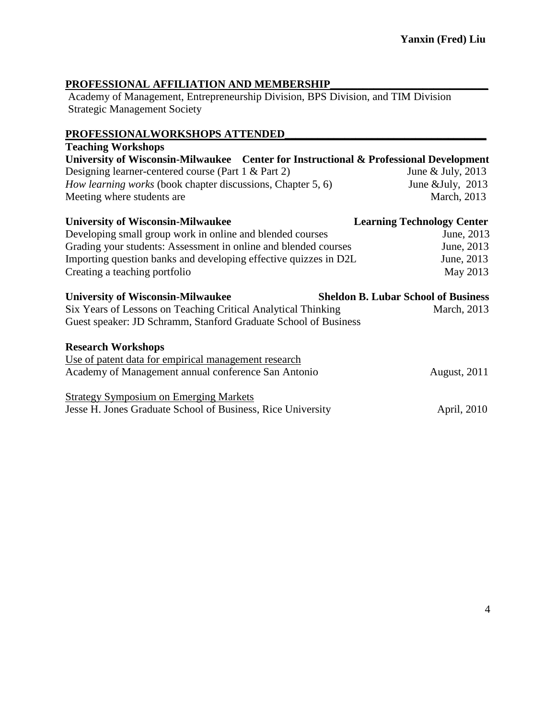## **PROFESSIONAL AFFILIATION AND MEMBERSHIP\_\_\_\_\_\_\_\_\_\_\_\_\_\_\_\_\_\_\_\_\_\_\_\_\_\_\_\_\_**

Academy of Management, Entrepreneurship Division, BPS Division, and TIM Division Strategic Management Society

## **PROFESSIONALWORKSHOPS ATTENDED\_\_\_\_\_\_\_\_\_\_\_\_\_\_\_\_\_\_\_\_\_\_\_\_\_\_\_\_\_\_\_\_\_\_\_\_\_**

| <b>Teaching Workshops</b>                                                             |                                            |
|---------------------------------------------------------------------------------------|--------------------------------------------|
| University of Wisconsin-Milwaukee Center for Instructional & Professional Development |                                            |
| Designing learner-centered course (Part 1 & Part 2)                                   | June & July, 2013                          |
| <i>How learning works</i> (book chapter discussions, Chapter 5, 6)                    | June & July, $2013$                        |
| Meeting where students are.                                                           | March, 2013                                |
| <b>University of Wisconsin-Milwaukee</b>                                              | <b>Learning Technology Center</b>          |
| Developing small group work in online and blended courses                             | June, 2013                                 |
| Grading your students: Assessment in online and blended courses                       | June, 2013                                 |
| Importing question banks and developing effective quizzes in D2L                      | June, 2013                                 |
| Creating a teaching portfolio                                                         | May 2013                                   |
| <b>University of Wisconsin-Milwaukee</b>                                              | <b>Sheldon B. Lubar School of Business</b> |
| Six Years of Lessons on Teaching Critical Analytical Thinking                         | March, 2013                                |
| Guest speaker: JD Schramm, Stanford Graduate School of Business                       |                                            |
| <b>Research Workshops</b>                                                             |                                            |
| Use of patent data for empirical management research                                  |                                            |
| Academy of Management annual conference San Antonio                                   | <b>August, 2011</b>                        |
| <b>Strategy Symposium on Emerging Markets</b>                                         |                                            |
| Jesse H. Jones Graduate School of Business, Rice University                           | April, 2010                                |